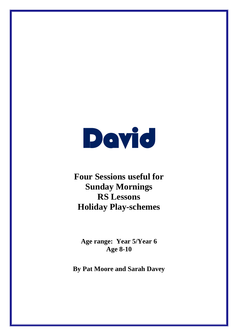

**Four Sessions useful for Sunday Mornings RS Lessons Holiday Play-schemes**

**Age range: Year 5/Year 6 Age 8-10**

**By Pat Moore and Sarah Davey**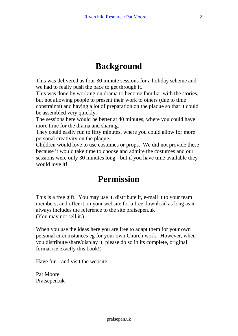## **Background**

This was delivered as four 30 minute sessions for a holiday scheme and we had to really push the pace to get through it.

This was done by working on drama to become familiar with the stories, but not allowing people to present their work to others (due to time constraints) and having a lot of preparation on the plaque so that it could be assembled very quickly.

The sessions here would be better at 40 minutes, where you could have more time for the drama and sharing.

They could easily run to fifty minutes, where you could allow for more personal creativity on the plaque.

Children would love to use costumes or props. We did not provide these because it would take time to choose and admire the costumes and our sessions were only 30 minutes long - but if you have time available they would love it!

## **Permission**

This is a free gift. You may use it, distribute it, e-mail it to your team members, and offer it on your website for a free download as long as it always includes the reference to the site praisepen.uk (You may not sell it.)

When you use the ideas here you are free to adapt them for your own personal circumstances eg for your own Church work. However, when you distribute/share/display it, please do so in its complete, original format (ie exactly this book!)

Have fun - and visit the website!

Pat Moore Praisepen.uk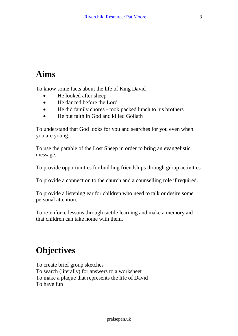## **Aims**

To know some facts about the life of King David

- He looked after sheep
- He danced before the Lord
- He did family chores took packed lunch to his brothers
- He put faith in God and killed Goliath

To understand that God looks for you and searches for you even when you are young.

To use the parable of the Lost Sheep in order to bring an evangelistic message.

To provide opportunities for building friendships through group activities

To provide a connection to the church and a counselling role if required.

To provide a listening ear for children who need to talk or desire some personal attention.

To re-enforce lessons through tactile learning and make a memory aid that children can take home with them.

# **Objectives**

To create brief group sketches To search (literally) for answers to a worksheet To make a plaque that represents the life of David To have fun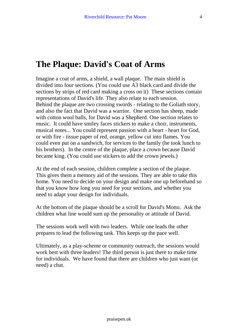# **The Plaque: David's Coat of Arms**

Imagine a coat of arms, a shield, a wall plaque. The main shield is divided into four sections. (You could use A3 black card and divide the sections by strips of red card making a cross on it) These sections contain representations of David's life. They also relate to each session. Behind the plaque are two crossing swords - relating to the Goliath story, and also the fact that David was a warrior. One section has sheep, made with cotton wool balls, for David was a Shepherd. One section relates to music. It could have smiley faces stickers to make a choir, instruments, musical notes... You could represent passion with a heart - heart for God, or with fire - tissue paper of red, orange, yellow cut into flames. You could even put on a sandwich, for services to the family (he took lunch to his brothers). In the centre of the plaque, place a crown because David became king. (You could use stickers to add the crown jewels.)

At the end of each session, children complete a section of the plaque. This gives them a memory aid of the sessions. They are able to take this home. You need to decide on your design and make one up beforehand so that you know how long you need for your sections, and whether you need to adapt your design for individuals.

At the bottom of the plaque should be a scroll for David's Motto. Ask the children what line would sum up the personality or attitude of David.

The sessions work well with two leaders. While one leads the other prepares to lead the following task. This keeps up the pace well.

Ultimately, as a play-scheme or community outreach, the sessions would work best with three leaders! The third person is just there to make time for individuals. We have found that there are children who just want (or need) a chat.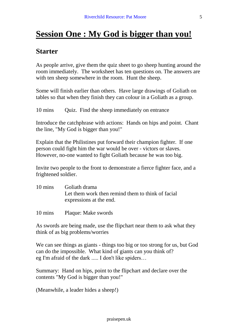# **Session One : My God is bigger than you!**

### **Starter**

As people arrive, give them the quiz sheet to go sheep hunting around the room immediately. The worksheet has ten questions on. The answers are with ten sheep somewhere in the room. Hunt the sheep.

Some will finish earlier than others. Have large drawings of Goliath on tables so that when they finish they can colour in a Goliath as a group.

10 mins Quiz. Find the sheep immediately on entrance

Introduce the catchphrase with actions: Hands on hips and point. Chant the line, "My God is bigger than you!"

Explain that the Philistines put forward their champion fighter. If one person could fight him the war would be over - victors or slaves. However, no-one wanted to fight Goliath because he was too big.

Invite two people to the front to demonstrate a fierce fighter face, and a frightened soldier.

- 10 mins Goliath drama Let them work then remind them to think of facial expressions at the end.
- 10 mins Plaque: Make swords

As swords are being made, use the flipchart near them to ask what they think of as big problems/worries

We can see things as giants - things too big or too strong for us, but God can do the impossible. What kind of giants can you think of? eg I'm afraid of the dark ..... I don't like spiders…

Summary: Hand on hips, point to the flipchart and declare over the contents "My God is bigger than you!"

(Meanwhile, a leader hides a sheep!)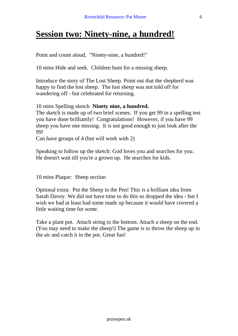# **Session two: Ninety-nine, a hundred!**

Point and count aloud, "Ninety-nine, a hundred!"

10 mins Hide and seek. Children hunt for a missing sheep.

Introduce the story of The Lost Sheep. Point out that the shepherd was happy to find the lost sheep. The lost sheep was not told off for wandering off - but celebrated for returning.

10 mins Spelling sketch **Ninety nine, a hundred.**

The sketch is made up of two brief scenes. If you get 99 in a spelling test you have done brilliantly! Congratulations! However, if you have 99 sheep you have one missing. It is not good enough to just look after the 99!

Can have groups of 4 (but will work with 2)

Speaking to follow up the sketch: God loves you and searches for you. He doesn't wait till you're a grown up. He searches for kids.

10 mins Plaque: Sheep section

Optional extra: Put the Sheep in the Pen! This is a brilliant idea from Sarah Davey. We did not have time to do this so dropped the idea - but I wish we had at least had some made up because it would have covered a little waiting time for some.

Take a plant pot. Attach string to the bottom. Attach a sheep on the end. (You may need to make the sheep!) The game is to throw the sheep up in the air and catch it in the pot. Great fun!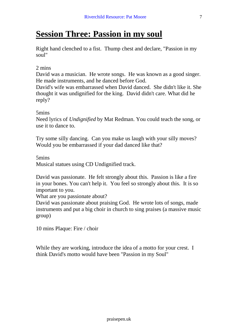# **Session Three: Passion in my soul**

Right hand clenched to a fist. Thump chest and declare, "Passion in my soul"

#### 2 mins

David was a musician. He wrote songs. He was known as a good singer. He made instruments, and he danced before God.

David's wife was embarrassed when David danced. She didn't like it. She thought it was undignified for the king. David didn't care. What did he reply?

#### 5mins

Need lyrics of *Undignified* by Mat Redman. You could teach the song, or use it to dance to.

Try some silly dancing. Can you make us laugh with your silly moves? Would you be embarrassed if your dad danced like that?

#### 5mins

Musical statues using CD Undignified track.

David was passionate. He felt strongly about this. Passion is like a fire in your bones. You can't help it. You feel so strongly about this. It is so important to you.

What are you passionate about?

David was passionate about praising God. He wrote lots of songs, made instruments and put a big choir in church to sing praises (a massive music group)

10 mins Plaque: Fire / choir

While they are working, introduce the idea of a motto for your crest. I think David's motto would have been "Passion in my Soul"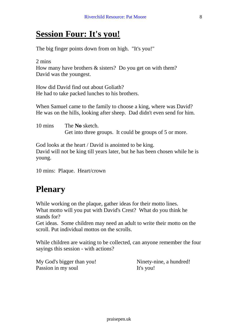# **Session Four: It's you!**

The big finger points down from on high. "It's you!"

2 mins

How many have brothers & sisters? Do you get on with them? David was the youngest.

How did David find out about Goliath? He had to take packed lunches to his brothers.

When Samuel came to the family to choose a king, where was David? He was on the hills, looking after sheep. Dad didn't even send for him.

10 mins The **No** sketch. Get into three groups. It could be groups of 5 or more.

God looks at the heart / David is anointed to be king. David will not be king till years later, but he has been chosen while he is young.

10 mins: Plaque. Heart/crown

## **Plenary**

While working on the plaque, gather ideas for their motto lines. What motto will you put with David's Crest? What do you think he stands for?

Get ideas. Some children may need an adult to write their motto on the scroll. Put individual mottos on the scrolls.

While children are waiting to be collected, can anyone remember the four sayings this session - with actions?

My God's bigger than you! Ninety-nine, a hundred! Passion in my soul It's you!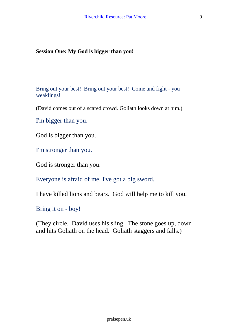#### **Session One: My God is bigger than you!**

Bring out your best! Bring out your best! Come and fight - you weaklings!

(David comes out of a scared crowd. Goliath looks down at him.)

I'm bigger than you.

God is bigger than you.

I'm stronger than you.

God is stronger than you.

Everyone is afraid of me. I've got a big sword.

I have killed lions and bears. God will help me to kill you.

Bring it on - boy!

(They circle. David uses his sling. The stone goes up, down and hits Goliath on the head. Goliath staggers and falls.)

9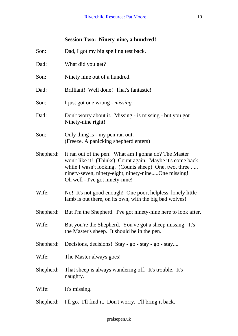### **Session Two: Ninety-nine, a hundred!**

| Son:      | Dad, I got my big spelling test back.                                                                                                                                                                                                                                  |
|-----------|------------------------------------------------------------------------------------------------------------------------------------------------------------------------------------------------------------------------------------------------------------------------|
| Dad:      | What did you get?                                                                                                                                                                                                                                                      |
| Son:      | Ninety nine out of a hundred.                                                                                                                                                                                                                                          |
| Dad:      | Brilliant! Well done! That's fantastic!                                                                                                                                                                                                                                |
| Son:      | I just got one wrong - missing.                                                                                                                                                                                                                                        |
| Dad:      | Don't worry about it. Missing - is missing - but you got<br>Ninety-nine right!                                                                                                                                                                                         |
| Son:      | Only thing is - my pen ran out.<br>(Freeze. A panicking shepherd enters)                                                                                                                                                                                               |
| Shepherd: | It ran out of the pen! What am I gonna do? The Master<br>won't like it! (Thinks) Count again. Maybe it's come back<br>while I wasn't looking. (Counts sheep) One, two, three<br>ninety-seven, ninety-eight, ninety-nineOne missing!<br>Oh well - I've got ninety-nine! |
| Wife:     | No! It's not good enough! One poor, helpless, lonely little<br>lamb is out there, on its own, with the big bad wolves!                                                                                                                                                 |
| Shepherd: | But I'm the Shepherd. I've got ninety-nine here to look after.                                                                                                                                                                                                         |
| Wife:     | But you're the Shepherd. You've got a sheep missing. It's<br>the Master's sheep. It should be in the pen.                                                                                                                                                              |
| Shepherd: | Decisions, decisions! Stay - go - stay - go - stay                                                                                                                                                                                                                     |
| Wife:     | The Master always goes!                                                                                                                                                                                                                                                |
| Shepherd: | That sheep is always wandering off. It's trouble. It's<br>naughty.                                                                                                                                                                                                     |
| Wife:     | It's missing.                                                                                                                                                                                                                                                          |
|           | Shepherd: I'll go. I'll find it. Don't worry. I'll bring it back.                                                                                                                                                                                                      |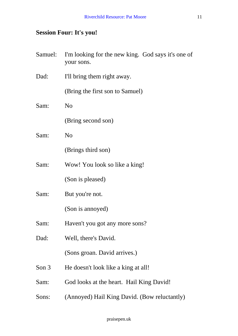### **Session Four: It's you!**

| Samuel: | I'm looking for the new king. God says it's one of<br>your sons. |
|---------|------------------------------------------------------------------|
| Dad:    | I'll bring them right away.                                      |
|         | (Bring the first son to Samuel)                                  |
| Sam:    | N <sub>o</sub>                                                   |
|         | (Bring second son)                                               |
| Sam:    | N <sub>o</sub>                                                   |
|         | (Brings third son)                                               |
| Sam:    | Wow! You look so like a king!                                    |
|         | (Son is pleased)                                                 |
| Sam:    | But you're not.                                                  |
|         | (Son is annoyed)                                                 |
| Sam:    | Haven't you got any more sons?                                   |
| Dad:    | Well, there's David.                                             |
|         | (Sons groan. David arrives.)                                     |
| Son $3$ | He doesn't look like a king at all!                              |
| Sam:    | God looks at the heart. Hail King David!                         |
| Sons:   | (Annoyed) Hail King David. (Bow reluctantly)                     |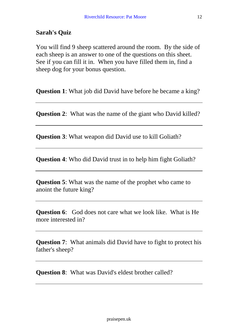### **Sarah's Quiz**

You will find 9 sheep scattered around the room. By the side of each sheep is an answer to one of the questions on this sheet. See if you can fill it in. When you have filled them in, find a sheep dog for your bonus question.

**Question 1**: What job did David have before he became a king?

**Question 2**: What was the name of the giant who David killed?

**Question 3**: What weapon did David use to kill Goliath?

**Question 4**: Who did David trust in to help him fight Goliath?

**Question 5**: What was the name of the prophet who came to anoint the future king?

**Question 6**: God does not care what we look like. What is He more interested in?

**Question 7**: What animals did David have to fight to protect his father's sheep?

**Question 8**: What was David's eldest brother called?